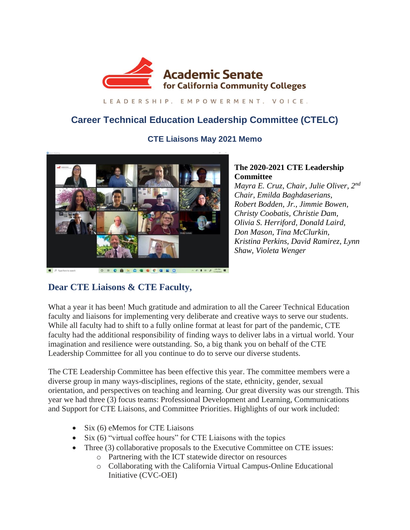

LEADERSHIP, EMPOWERMENT, VOICE,

# **Career Technical Education Leadership Committee (CTELC)**

## **CTE Liaisons May 2021 Memo**



#### **The 2020-2021 CTE Leadership Committee**

*Mayra E. Cruz, Chair, Julie Oliver, 2nd Chair, Emilda Baghdaserians, Robert Bodden, Jr., Jimmie Bowen, Christy Coobatis, Christie Dam, Olivia S. Herriford, Donald Laird, Don Mason, Tina McClurkin, Kristina Perkins, David Ramirez, Lynn Shaw, Violeta Wenger* 

## **Dear CTE Liaisons & CTE Faculty,**

What a year it has been! Much gratitude and admiration to all the Career Technical Education faculty and liaisons for implementing very deliberate and creative ways to serve our students. While all faculty had to shift to a fully online format at least for part of the pandemic, CTE faculty had the additional responsibility of finding ways to deliver labs in a virtual world. Your imagination and resilience were outstanding. So, a big thank you on behalf of the CTE Leadership Committee for all you continue to do to serve our diverse students.

The CTE Leadership Committee has been effective this year. The committee members were a diverse group in many ways-disciplines, regions of the state, ethnicity, gender, sexual orientation, and perspectives on teaching and learning. Our great diversity was our strength. This year we had three (3) focus teams: Professional Development and Learning, Communications and Support for CTE Liaisons, and Committee Priorities. Highlights of our work included:

- Six (6) eMemos for CTE Liaisons
- Six (6) "virtual coffee hours" for CTE Liaisons with the topics
- Three (3) collaborative proposals to the Executive Committee on CTE issues:
	- o Partnering with the ICT statewide director on resources
	- o Collaborating with the California Virtual Campus-Online Educational Initiative (CVC-OEI)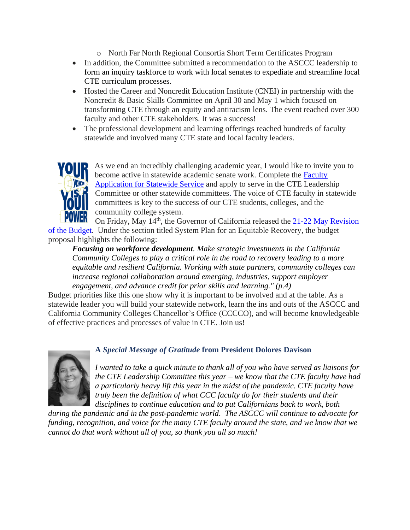- o North Far North Regional Consortia Short Term Certificates Program
- In addition, the Committee submitted a recommendation to the ASCCC leadership to form an inquiry taskforce to work with local senates to expediate and streamline local CTE curriculum processes.
- Hosted the Career and Noncredit Education Institute (CNEI) in partnership with the Noncredit & Basic Skills Committee on April 30 and May 1 which focused on transforming CTE through an equity and antiracism lens. The event reached over 300 faculty and other CTE stakeholders. It was a success!
- The professional development and learning offerings reached hundreds of faculty statewide and involved many CTE state and local faculty leaders.



As we end an incredibly challenging academic year, I would like to invite you to become active in statewide academic senate work. Complete the [Faculty](https://asccc.org/content/new-faculty-application-statewide-service)  [Application for Statewide Service](https://asccc.org/content/new-faculty-application-statewide-service) and apply to serve in the CTE Leadership Committee or other statewide committees. The voice of CTE faculty in statewide committees is key to the success of our CTE students, colleges, and the community college system.

On Friday, May 14th, the Governor of California released the [21-22 May Revision](about:blank)  [of the Budget.](about:blank) Under the section titled System Plan for an Equitable Recovery, the budget proposal highlights the following:

*Focusing on workforce development. Make strategic investments in the California Community Colleges to play a critical role in the road to recovery leading to a more equitable and resilient California. Working with state partners, community colleges can increase regional collaboration around emerging, industries, support employer engagement, and advance credit for prior skills and learning." (p.4)*

Budget priorities like this one show why it is important to be involved and at the table. As a statewide leader you will build your statewide network, learn the ins and outs of the ASCCC and California Community Colleges Chancellor's Office (CCCCO), and will become knowledgeable of effective practices and processes of value in CTE. Join us!



#### **A** *Special Message of Gratitude* **from President Dolores Davison**

*I wanted to take a quick minute to thank all of you who have served as liaisons for the CTE Leadership Committee this year – we know that the CTE faculty have had a particularly heavy lift this year in the midst of the pandemic. CTE faculty have truly been the definition of what CCC faculty do for their students and their disciplines to continue education and to put Californians back to work, both* 

*during the pandemic and in the post-pandemic world. The ASCCC will continue to advocate for funding, recognition, and voice for the many CTE faculty around the state, and we know that we cannot do that work without all of you, so thank you all so much!*